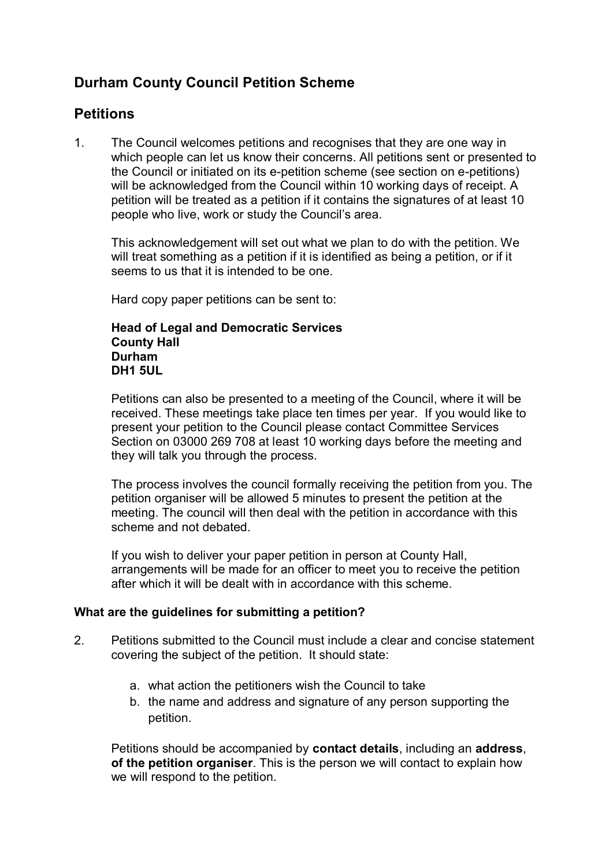# **Durham County Council Petition Scheme**

# **Petitions**

1. The Council welcomes petitions and recognises that they are one way in which people can let us know their concerns. All petitions sent or presented to the Council or initiated on its e-petition scheme (see section on e-petitions) will be acknowledged from the Council within 10 working days of receipt. A petition will be treated as a petition if it contains the signatures of at least 10 people who live, work or study the Council's area.

This acknowledgement will set out what we plan to do with the petition. We will treat something as a petition if it is identified as being a petition, or if it seems to us that it is intended to be one.

Hard copy paper petitions can be sent to:

### **Head of Legal and Democratic Services County Hall Durham DH1 5UL**

Petitions can also be presented to a meeting of the Council, where it will be received. These meetings take place ten times per year. If you would like to present your petition to the Council please contact Committee Services Section on 03000 269 708 at least 10 working days before the meeting and they will talk you through the process.

The process involves the council formally receiving the petition from you. The petition organiser will be allowed 5 minutes to present the petition at the meeting. The council will then deal with the petition in accordance with this scheme and not debated.

If you wish to deliver your paper petition in person at County Hall, arrangements will be made for an officer to meet you to receive the petition after which it will be dealt with in accordance with this scheme.

## **What are the guidelines for submitting a petition?**

- 2. Petitions submitted to the Council must include a clear and concise statement covering the subject of the petition. It should state:
	- a. what action the petitioners wish the Council to take
	- b. the name and address and signature of any person supporting the petition.

Petitions should be accompanied by **contact details**, including an **address**, **of the petition organiser**. This is the person we will contact to explain how we will respond to the petition.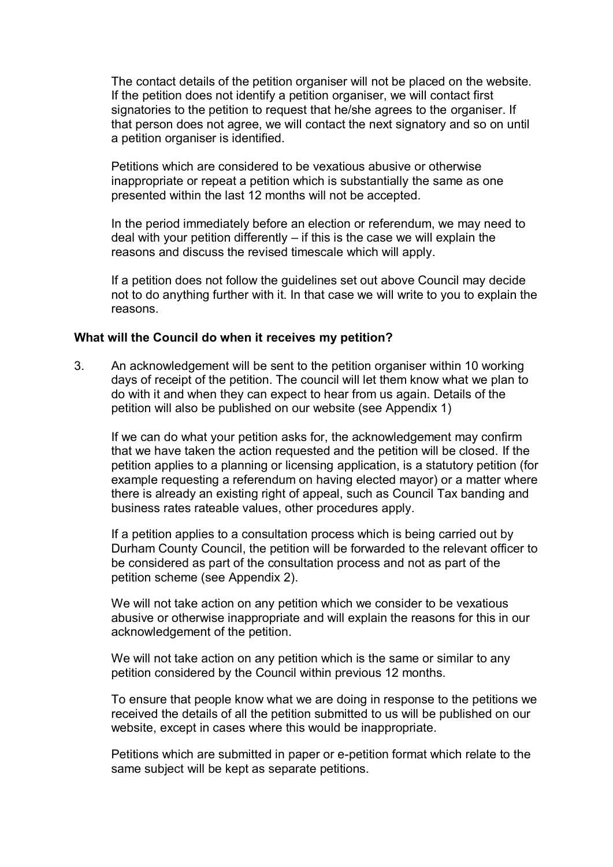The contact details of the petition organiser will not be placed on the website. If the petition does not identify a petition organiser, we will contact first signatories to the petition to request that he/she agrees to the organiser. If that person does not agree, we will contact the next signatory and so on until a petition organiser is identified.

Petitions which are considered to be vexatious abusive or otherwise inappropriate or repeat a petition which is substantially the same as one presented within the last 12 months will not be accepted.

In the period immediately before an election or referendum, we may need to deal with your petition differently  $-$  if this is the case we will explain the reasons and discuss the revised timescale which will apply.

If a petition does not follow the guidelines set out above Council may decide not to do anything further with it. In that case we will write to you to explain the reasons.

### **What will the Council do when it receives my petition?**

3. An acknowledgement will be sent to the petition organiser within 10 working days of receipt of the petition. The council will let them know what we plan to do with it and when they can expect to hear from us again. Details of the petition will also be published on our website (see Appendix 1)

If we can do what your petition asks for, the acknowledgement may confirm that we have taken the action requested and the petition will be closed. If the petition applies to a planning or licensing application, is a statutory petition (for example requesting a referendum on having elected mayor) or a matter where there is already an existing right of appeal, such as Council Tax banding and business rates rateable values, other procedures apply.

If a petition applies to a consultation process which is being carried out by Durham County Council, the petition will be forwarded to the relevant officer to be considered as part of the consultation process and not as part of the petition scheme (see Appendix 2).

We will not take action on any petition which we consider to be vexatious abusive or otherwise inappropriate and will explain the reasons for this in our acknowledgement of the petition.

We will not take action on any petition which is the same or similar to any petition considered by the Council within previous 12 months.

To ensure that people know what we are doing in response to the petitions we received the details of all the petition submitted to us will be published on our website, except in cases where this would be inappropriate.

Petitions which are submitted in paper or e-petition format which relate to the same subject will be kept as separate petitions.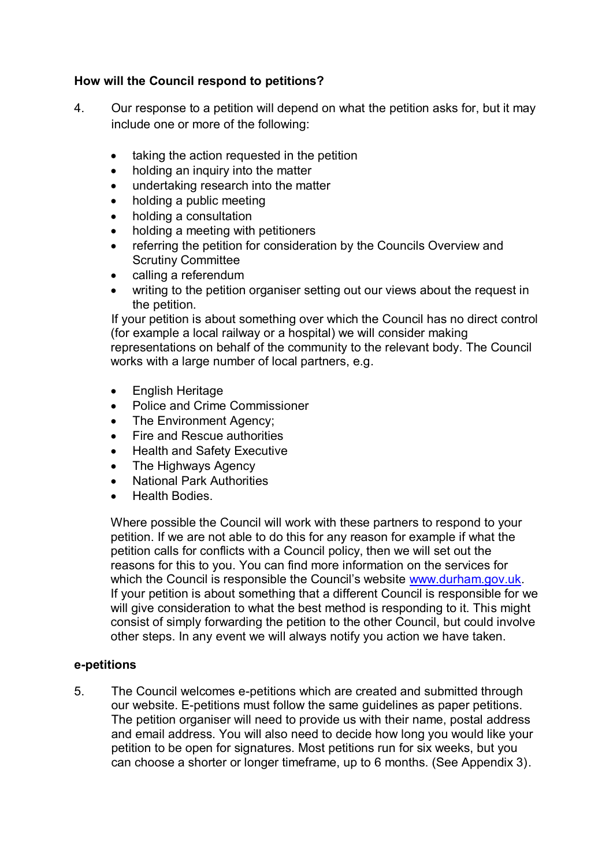## **How will the Council respond to petitions?**

- 4. Our response to a petition will depend on what the petition asks for, but it may include one or more of the following:
	- taking the action requested in the petition
	- holding an inquiry into the matter
	- undertaking research into the matter
	- holding a public meeting
	- holding a consultation
	- holding a meeting with petitioners
	- referring the petition for consideration by the Councils Overview and Scrutiny Committee
	- calling a referendum
	- writing to the petition organiser setting out our views about the request in the petition.

If your petition is about something over which the Council has no direct control (for example a local railway or a hospital) we will consider making representations on behalf of the community to the relevant body. The Council works with a large number of local partners, e.g.

- English Heritage
- Police and Crime Commissioner
- The Environment Agency;
- Fire and Rescue authorities
- Health and Safety Executive
- The Highways Agency
- National Park Authorities
- Health Bodies.

Where possible the Council will work with these partners to respond to your petition. If we are not able to do this for any reason for example if what the petition calls for conflicts with a Council policy, then we will set out the reasons for this to you. You can find more information on the services for which the Council is responsible the Council's website [www.durham.gov.uk](http://www.durham.gov.uk). If your petition is about something that a different Council is responsible for we will give consideration to what the best method is responding to it. This might consist of simply forwarding the petition to the other Council, but could involve other steps. In any event we will always notify you action we have taken.

## **e-petitions**

5. The Council welcomes e-petitions which are created and submitted through our website. E-petitions must follow the same guidelines as paper petitions. The petition organiser will need to provide us with their name, postal address and email address. You will also need to decide how long you would like your petition to be open for signatures. Most petitions run for six weeks, but you can choose a shorter or longer timeframe, up to 6 months. (See Appendix 3).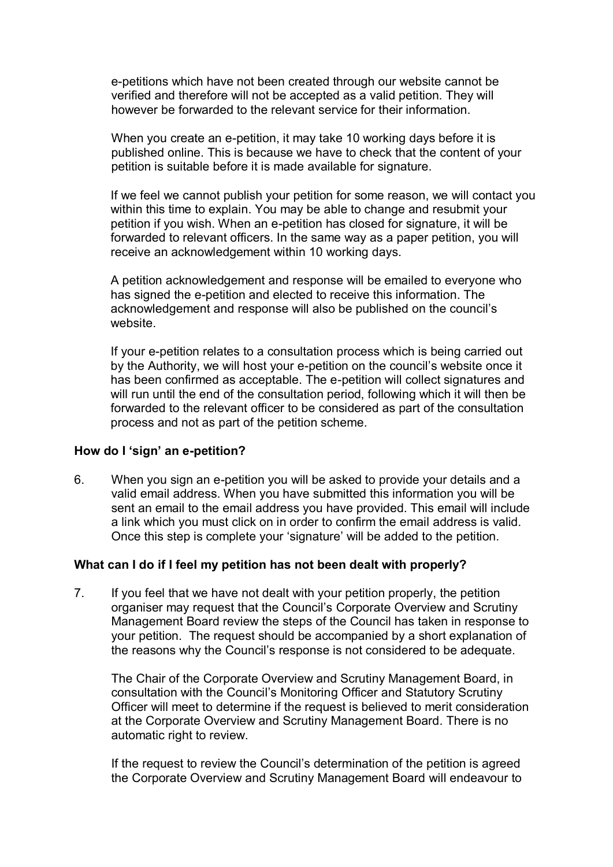e-petitions which have not been created through our website cannot be verified and therefore will not be accepted as a valid petition. They will however be forwarded to the relevant service for their information.

When you create an e-petition, it may take 10 working days before it is published online. This is because we have to check that the content of your petition is suitable before it is made available for signature.

If we feel we cannot publish your petition for some reason, we will contact you within this time to explain. You may be able to change and resubmit your petition if you wish. When an e-petition has closed for signature, it will be forwarded to relevant officers. In the same way as a paper petition, you will receive an acknowledgement within 10 working days.

A petition acknowledgement and response will be emailed to everyone who has signed the e-petition and elected to receive this information. The acknowledgement and response will also be published on the council's website.

If your e-petition relates to a consultation process which is being carried out by the Authority, we will host your e-petition on the council's website once it has been confirmed as acceptable. The e-petition will collect signatures and will run until the end of the consultation period, following which it will then be forwarded to the relevant officer to be considered as part of the consultation process and not as part of the petition scheme.

### **How do I 'sign' an e-petition?**

6. When you sign an e-petition you will be asked to provide your details and a valid email address. When you have submitted this information you will be sent an email to the email address you have provided. This email will include a link which you must click on in order to confirm the email address is valid. Once this step is complete your 'signature' will be added to the petition.

### **What can I do if I feel my petition has not been dealt with properly?**

7. If you feel that we have not dealt with your petition properly, the petition organiser may request that the Council's Corporate Overview and Scrutiny Management Board review the steps of the Council has taken in response to your petition. The request should be accompanied by a short explanation of the reasons why the Council's response is not considered to be adequate.

The Chair of the Corporate Overview and Scrutiny Management Board, in consultation with the Council's Monitoring Officer and Statutory Scrutiny Officer will meet to determine if the request is believed to merit consideration at the Corporate Overview and Scrutiny Management Board. There is no automatic right to review.

If the request to review the Council's determination of the petition is agreed the Corporate Overview and Scrutiny Management Board will endeavour to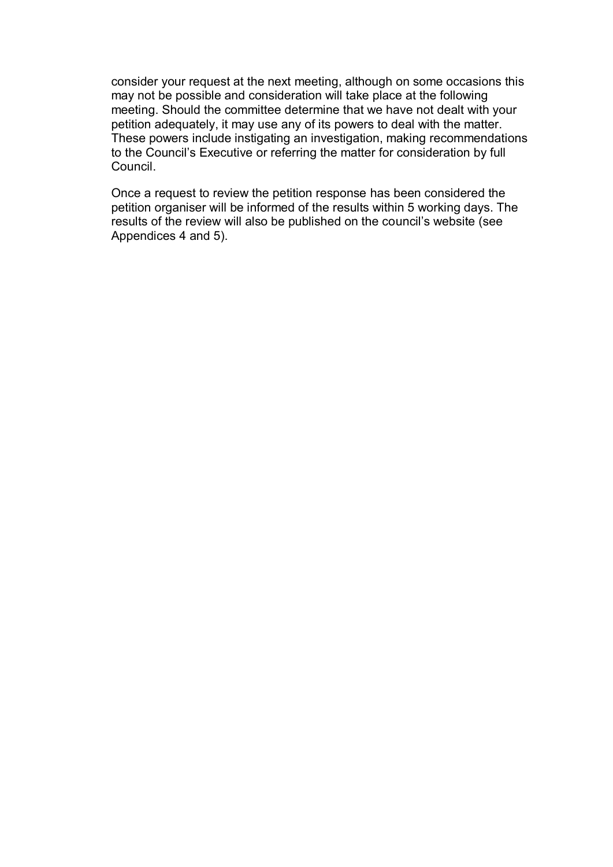consider your request at the next meeting, although on some occasions this may not be possible and consideration will take place at the following meeting. Should the committee determine that we have not dealt with your petition adequately, it may use any of its powers to deal with the matter. These powers include instigating an investigation, making recommendations to the Council's Executive or referring the matter for consideration by full Council.

Once a request to review the petition response has been considered the petition organiser will be informed of the results within 5 working days. The results of the review will also be published on the council's website (see Appendices 4 and 5).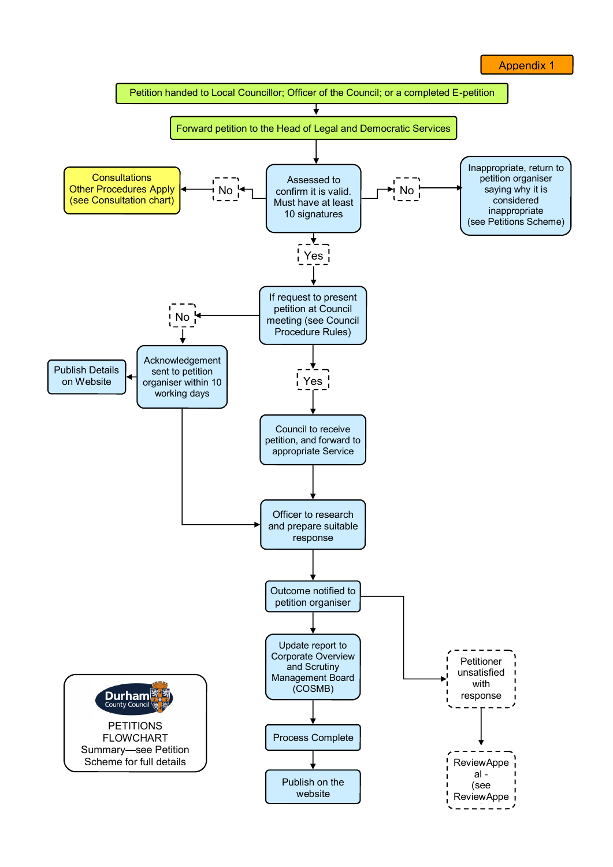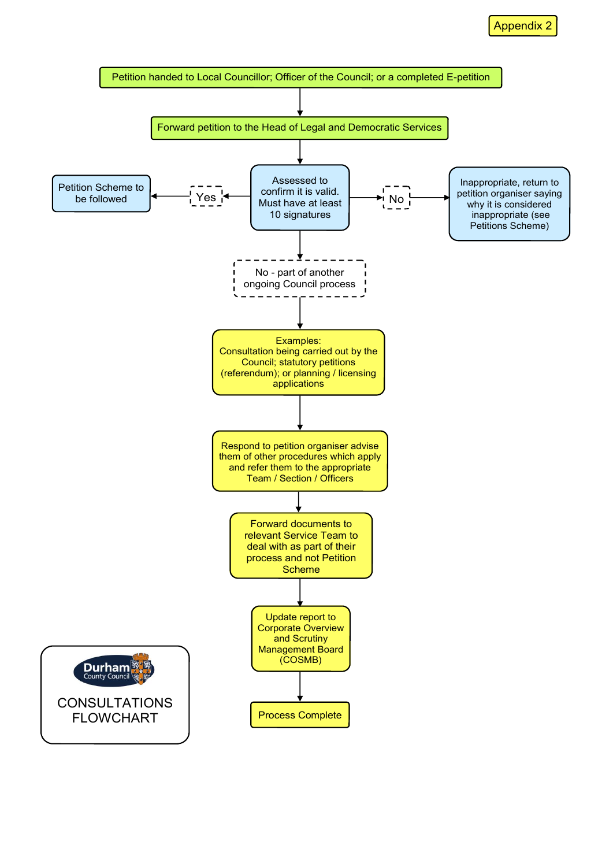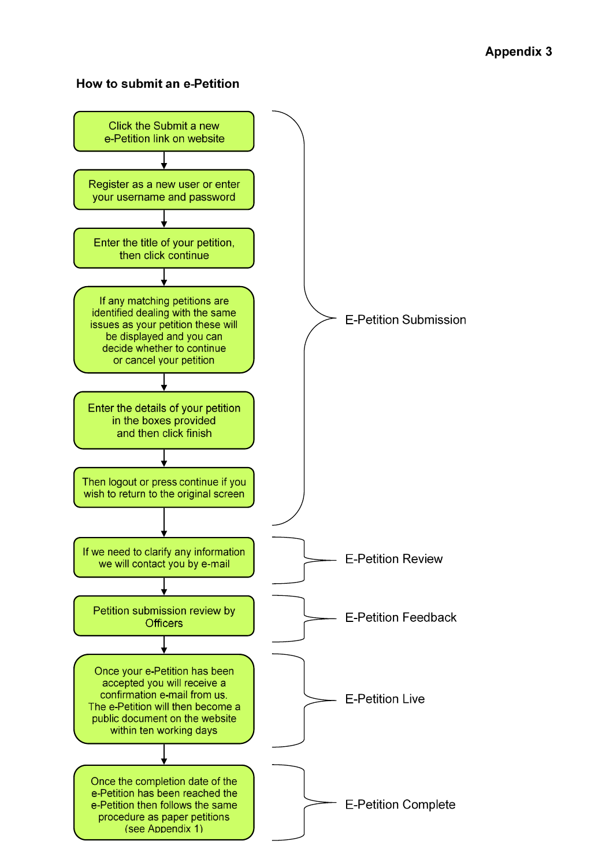## How to submit an e-Petition

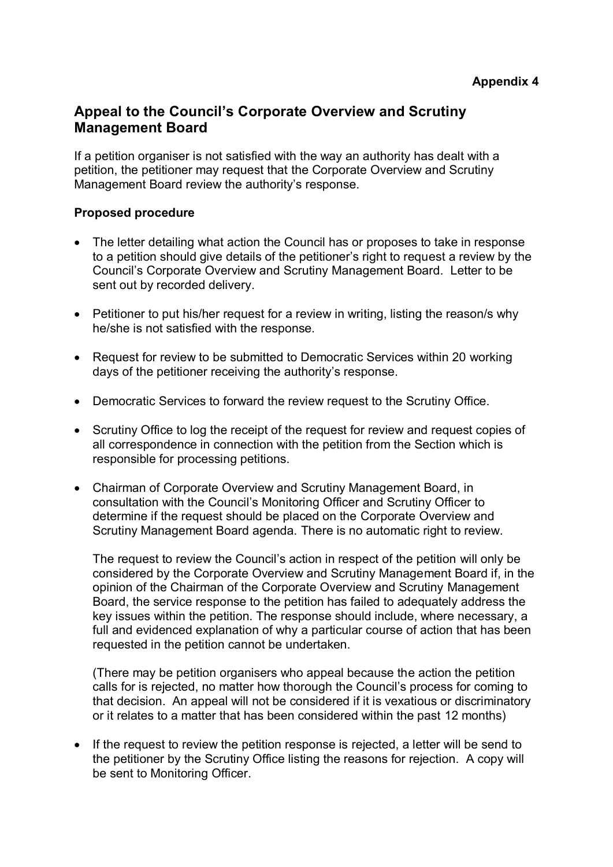# **Appeal to the Council's Corporate Overview and Scrutiny Management Board**

If a petition organiser is not satisfied with the way an authority has dealt with a petition, the petitioner may request that the Corporate Overview and Scrutiny Management Board review the authority's response.

## **Proposed procedure**

- The letter detailing what action the Council has or proposes to take in response to a petition should give details of the petitioner's right to request a review by the Council's Corporate Overview and Scrutiny Management Board. Letter to be sent out by recorded delivery.
- Petitioner to put his/her request for a review in writing, listing the reason/s why he/she is not satisfied with the response.
- Request for review to be submitted to Democratic Services within 20 working days of the petitioner receiving the authority's response.
- Democratic Services to forward the review request to the Scrutiny Office.
- Scrutiny Office to log the receipt of the request for review and request copies of all correspondence in connection with the petition from the Section which is responsible for processing petitions.
- Chairman of Corporate Overview and Scrutiny Management Board, in consultation with the Council's Monitoring Officer and Scrutiny Officer to determine if the request should be placed on the Corporate Overview and Scrutiny Management Board agenda. There is no automatic right to review.

The request to review the Council's action in respect of the petition will only be considered by the Corporate Overview and Scrutiny Management Board if, in the opinion of the Chairman of the Corporate Overview and Scrutiny Management Board, the service response to the petition has failed to adequately address the key issues within the petition. The response should include, where necessary, a full and evidenced explanation of why a particular course of action that has been requested in the petition cannot be undertaken.

(There may be petition organisers who appeal because the action the petition calls for is rejected, no matter how thorough the Council's process for coming to that decision. An appeal will not be considered if it is vexatious or discriminatory or it relates to a matter that has been considered within the past 12 months)

• If the request to review the petition response is rejected, a letter will be send to the petitioner by the Scrutiny Office listing the reasons for rejection. A copy will be sent to Monitoring Officer.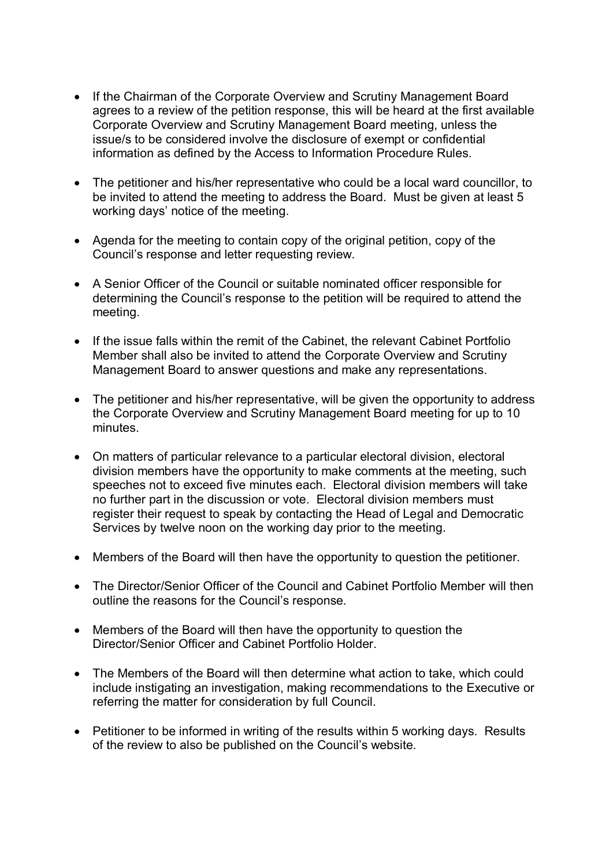- If the Chairman of the Corporate Overview and Scrutiny Management Board agrees to a review of the petition response, this will be heard at the first available Corporate Overview and Scrutiny Management Board meeting, unless the issue/s to be considered involve the disclosure of exempt or confidential information as defined by the Access to Information Procedure Rules.
- The petitioner and his/her representative who could be a local ward councillor, to be invited to attend the meeting to address the Board. Must be given at least 5 working days' notice of the meeting.
- Agenda for the meeting to contain copy of the original petition, copy of the Council's response and letter requesting review.
- A Senior Officer of the Council or suitable nominated officer responsible for determining the Council's response to the petition will be required to attend the meeting.
- If the issue falls within the remit of the Cabinet, the relevant Cabinet Portfolio Member shall also be invited to attend the Corporate Overview and Scrutiny Management Board to answer questions and make any representations.
- The petitioner and his/her representative, will be given the opportunity to address the Corporate Overview and Scrutiny Management Board meeting for up to 10 minutes.
- On matters of particular relevance to a particular electoral division, electoral division members have the opportunity to make comments at the meeting, such speeches not to exceed five minutes each. Electoral division members will take no further part in the discussion or vote. Electoral division members must register their request to speak by contacting the Head of Legal and Democratic Services by twelve noon on the working day prior to the meeting.
- Members of the Board will then have the opportunity to question the petitioner.
- The Director/Senior Officer of the Council and Cabinet Portfolio Member will then outline the reasons for the Council's response.
- Members of the Board will then have the opportunity to question the Director/Senior Officer and Cabinet Portfolio Holder.
- The Members of the Board will then determine what action to take, which could include instigating an investigation, making recommendations to the Executive or referring the matter for consideration by full Council.
- Petitioner to be informed in writing of the results within 5 working days. Results of the review to also be published on the Council's website.